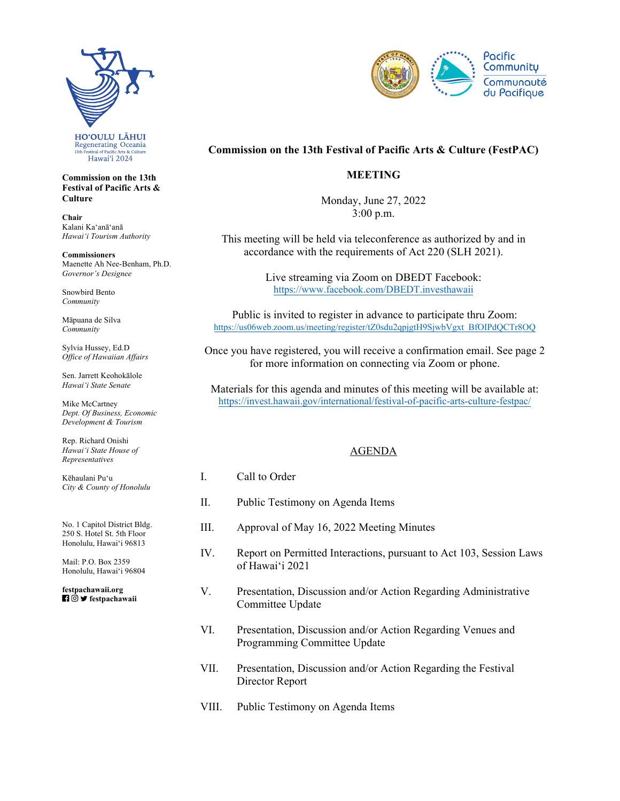

**Commission on the 13th Festival of Pacific Arts & Culture** 

**Chair**  Kalani Kaʻanāʻanā *Hawaiʻi Tourism Authority* 

**Commissioners**  Maenette Ah Nee-Benham, Ph.D. *Governor's Designee* 

Snowbird Bento *Community* 

Māpuana de Silva *Community* 

Sylvia Hussey, Ed.D *Office of Hawaiian Affairs* 

Sen. Jarrett Keohokālole *Hawaiʻi State Senate*

Mike McCartney *Dept. Of Business, Economic Development & Tourism* 

Rep. Richard Onishi *Hawai'i State House of Representatives* 

Kēhaulani Puʻu *City & County of Honolulu*

No. 1 Capitol District Bldg. 250 S. Hotel St. 5th Floor Honolulu, Hawaiʻi 96813

Mail: P.O. Box 2359 Honolulu, Hawaiʻi 96804

**festpachawaii.org fi** *o* **y** festpachawaii



## **Commission on the 13th Festival of Pacific Arts & Culture (FestPAC)**

## **MEETING**

Monday, June 27, 2022 3:00 p.m.

This meeting will be held via teleconference as authorized by and in accordance with the requirements of Act 220 (SLH 2021).

> Live streaming via Zoom on DBEDT Facebook: https://www.facebook.com/DBEDT.investhawaii

Public is invited to register in advance to participate thru Zoom: [https://us06web.zoom.us/meeting/register/tZ0sdu2qpjgtH9SjwbVgxt\\_BfOIPdQCTr8OQ](https://us06web.zoom.us/meeting/register/tZ0sdu2qpjgtH9SjwbVgxt_BfOIPdQCTr8OQ)

Once you have registered, you will receive a confirmation email. See page 2 for more information on connecting via Zoom or phone.

Materials for this agenda and minutes of this meeting will be available at: https://invest.hawaii.gov/international/festival-of-pacific-arts-culture-festpac/

## AGENDA

- I. Call to Order
- II. Public Testimony on Agenda Items
- III. Approval of May 16, 2022 Meeting Minutes
- IV. Report on Permitted Interactions, pursuant to Act 103, Session Laws of Hawaiʻi 2021
- V. Presentation, Discussion and/or Action Regarding Administrative Committee Update
- VI. Presentation, Discussion and/or Action Regarding Venues and Programming Committee Update
- VII. Presentation, Discussion and/or Action Regarding the Festival Director Report
- VIII. Public Testimony on Agenda Items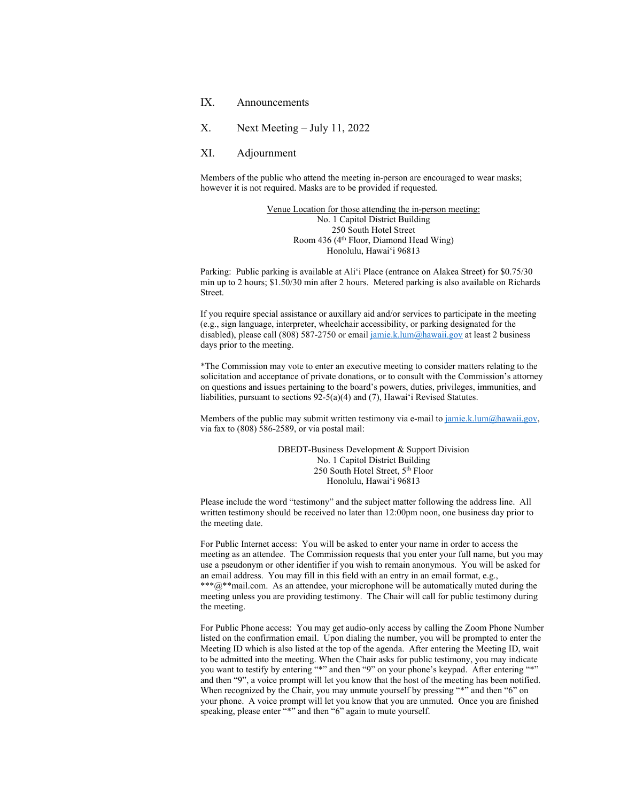IX. Announcements

X. Next Meeting – July 11, 2022

## XI. Adjournment

Members of the public who attend the meeting in-person are encouraged to wear masks; however it is not required. Masks are to be provided if requested.

> Venue Location for those attending the in-person meeting: No. 1 Capitol District Building 250 South Hotel Street Room 436 (4th Floor, Diamond Head Wing) Honolulu, Hawaiʻi 96813

Parking: Public parking is available at Aliʻi Place (entrance on Alakea Street) for \$0.75/30 min up to 2 hours; \$1.50/30 min after 2 hours. Metered parking is also available on Richards Street.

If you require special assistance or auxillary aid and/or services to participate in the meeting (e.g., sign language, interpreter, wheelchair accessibility, or parking designated for the disabled), please call (808) 587-2750 or email jamie.k.lum@hawaii.gov at least 2 business days prior to the meeting.

\*The Commission may vote to enter an executive meeting to consider matters relating to the solicitation and acceptance of private donations, or to consult with the Commission's attorney on questions and issues pertaining to the board's powers, duties, privileges, immunities, and liabilities, pursuant to sections 92-5(a)(4) and (7), Hawaiʻi Revised Statutes.

Members of the public may submit written testimony via e-mail to  $jami.e.k.lum@hawaii.gov,$ via fax to (808) 586-2589, or via postal mail:

> DBEDT-Business Development & Support Division No. 1 Capitol District Building 250 South Hotel Street, 5th Floor Honolulu, Hawaiʻi 96813

Please include the word "testimony" and the subject matter following the address line. All written testimony should be received no later than 12:00pm noon, one business day prior to the meeting date.

For Public Internet access: You will be asked to enter your name in order to access the meeting as an attendee. The Commission requests that you enter your full name, but you may use a pseudonym or other identifier if you wish to remain anonymous. You will be asked for an email address. You may fill in this field with an entry in an email format, e.g., \*\*\*@\*\*mail.com. As an attendee, your microphone will be automatically muted during the meeting unless you are providing testimony. The Chair will call for public testimony during the meeting.

For Public Phone access: You may get audio-only access by calling the Zoom Phone Number listed on the confirmation email. Upon dialing the number, you will be prompted to enter the Meeting ID which is also listed at the top of the agenda. After entering the Meeting ID, wait to be admitted into the meeting. When the Chair asks for public testimony, you may indicate you want to testify by entering "\*" and then "9" on your phone's keypad. After entering "\*" and then "9", a voice prompt will let you know that the host of the meeting has been notified. When recognized by the Chair, you may unmute yourself by pressing "\*" and then "6" on your phone. A voice prompt will let you know that you are unmuted. Once you are finished speaking, please enter "\*" and then "6" again to mute yourself.